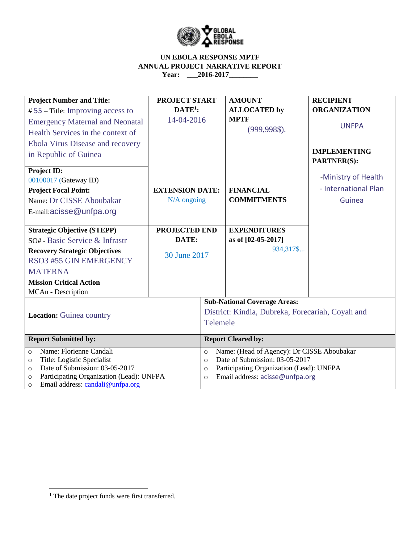

| <b>Project Number and Title:</b>                    | <b>PROJECT START</b>   |                                                       | <b>AMOUNT</b>                       | <b>RECIPIENT</b>     |  |  |
|-----------------------------------------------------|------------------------|-------------------------------------------------------|-------------------------------------|----------------------|--|--|
| $# 55$ – Title: Improving access to                 | $DATE1$ :              |                                                       | <b>ALLOCATED by</b>                 | <b>ORGANIZATION</b>  |  |  |
| <b>Emergency Maternal and Neonatal</b>              | 14-04-2016             |                                                       | <b>MPTF</b>                         | <b>UNFPA</b>         |  |  |
| Health Services in the context of                   |                        |                                                       | $(999, 998\$                        |                      |  |  |
| <b>Ebola Virus Disease and recovery</b>             |                        |                                                       |                                     |                      |  |  |
| in Republic of Guinea                               |                        |                                                       |                                     | <b>IMPLEMENTING</b>  |  |  |
|                                                     |                        |                                                       |                                     | <b>PARTNER(S):</b>   |  |  |
| <b>Project ID:</b>                                  |                        |                                                       |                                     | -Ministry of Health  |  |  |
| 00100017 (Gateway ID)                               |                        |                                                       |                                     |                      |  |  |
| <b>Project Focal Point:</b>                         | <b>EXTENSION DATE:</b> |                                                       | <b>FINANCIAL</b>                    | - International Plan |  |  |
| Name: Dr CISSE Aboubakar                            | $N/A$ ongoing          |                                                       | <b>COMMITMENTS</b>                  | Guinea               |  |  |
| E-mail:acisse@unfpa.org                             |                        |                                                       |                                     |                      |  |  |
|                                                     |                        |                                                       |                                     |                      |  |  |
| <b>Strategic Objective (STEPP)</b>                  | PROJECTED END          |                                                       | <b>EXPENDITURES</b>                 |                      |  |  |
| SO# - Basic Service & Infrastr                      | DATE:                  |                                                       | as of [02-05-2017]                  |                      |  |  |
| <b>Recovery Strategic Objectives</b>                |                        |                                                       | 934,317\$                           |                      |  |  |
| RSO3 #55 GIN EMERGENCY                              | 30 June 2017           |                                                       |                                     |                      |  |  |
| <b>MATERNA</b>                                      |                        |                                                       |                                     |                      |  |  |
| <b>Mission Critical Action</b>                      |                        |                                                       |                                     |                      |  |  |
| MCAn - Description                                  |                        |                                                       |                                     |                      |  |  |
|                                                     |                        |                                                       | <b>Sub-National Coverage Areas:</b> |                      |  |  |
| <b>Location:</b> Guinea country                     |                        | District: Kindia, Dubreka, Forecariah, Coyah and      |                                     |                      |  |  |
|                                                     |                        | Telemele                                              |                                     |                      |  |  |
|                                                     |                        |                                                       |                                     |                      |  |  |
| <b>Report Submitted by:</b>                         |                        | <b>Report Cleared by:</b>                             |                                     |                      |  |  |
| Name: Florienne Candali<br>$\circ$                  |                        | Name: (Head of Agency): Dr CISSE Aboubakar<br>$\circ$ |                                     |                      |  |  |
| Title: Logistic Specialist<br>$\circ$               |                        | Date of Submission: 03-05-2017<br>$\circ$             |                                     |                      |  |  |
| Date of Submission: 03-05-2017<br>$\Omega$          |                        | Participating Organization (Lead): UNFPA<br>$\circ$   |                                     |                      |  |  |
| Participating Organization (Lead): UNFPA<br>$\circ$ |                        | Email address: acisse@unfpa.org<br>$\circ$            |                                     |                      |  |  |
| Email address: candali@unfpa.org<br>$\circ$         |                        |                                                       |                                     |                      |  |  |

 $\overline{\phantom{a}}$ 

<sup>&</sup>lt;sup>1</sup> The date project funds were first transferred.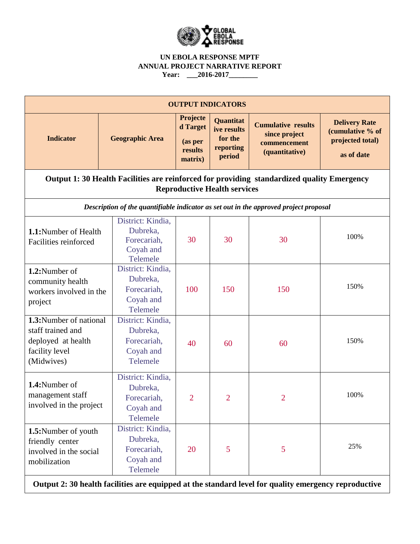

| <b>OUTPUT INDICATORS</b>                                                                                                          |                                                                       |                                                       |                                                                   |                                                                              |                                                                            |  |  |  |
|-----------------------------------------------------------------------------------------------------------------------------------|-----------------------------------------------------------------------|-------------------------------------------------------|-------------------------------------------------------------------|------------------------------------------------------------------------------|----------------------------------------------------------------------------|--|--|--|
| <b>Indicator</b>                                                                                                                  | <b>Geographic Area</b>                                                | Projecte<br>d Target<br>(as per<br>results<br>matrix) | <b>Quantitat</b><br>ive results<br>for the<br>reporting<br>period | <b>Cumulative results</b><br>since project<br>commencement<br>(quantitative) | <b>Delivery Rate</b><br>(cumulative % of<br>projected total)<br>as of date |  |  |  |
| Output 1: 30 Health Facilities are reinforced for providing standardized quality Emergency<br><b>Reproductive Health services</b> |                                                                       |                                                       |                                                                   |                                                                              |                                                                            |  |  |  |
| Description of the quantifiable indicator as set out in the approved project proposal                                             |                                                                       |                                                       |                                                                   |                                                                              |                                                                            |  |  |  |
| 1.1:Number of Health<br>Facilities reinforced                                                                                     | District: Kindia,<br>Dubreka,<br>Forecariah,<br>Coyah and<br>Telemele | 30                                                    | 30                                                                | 30                                                                           | 100%                                                                       |  |  |  |
| 1.2:Number of<br>community health<br>workers involved in the<br>project                                                           | District: Kindia,<br>Dubreka,<br>Forecariah,<br>Coyah and<br>Telemele | 100                                                   | 150                                                               | 150                                                                          | 150%                                                                       |  |  |  |
| 1.3:Number of national<br>staff trained and<br>deployed at health<br>facility level<br>(Midwives)                                 | District: Kindia,<br>Dubreka,<br>Forecariah,<br>Coyah and<br>Telemele | 40                                                    | 60                                                                | 60                                                                           | 150%                                                                       |  |  |  |
| 1.4:Number of<br>management staff<br>involved in the project                                                                      | District: Kindia,<br>Dubreka,<br>Forecariah,<br>Coyah and<br>Telemele | 2                                                     | $\overline{2}$                                                    | $\overline{2}$                                                               | 100%                                                                       |  |  |  |
| 1.5:Number of youth<br>friendly center<br>involved in the social<br>mobilization                                                  | District: Kindia,<br>Dubreka,<br>Forecariah,<br>Coyah and<br>Telemele | 20                                                    | 5                                                                 | 5                                                                            | 25%                                                                        |  |  |  |

**Output 2: 30 health facilities are equipped at the standard level for quality emergency reproductive**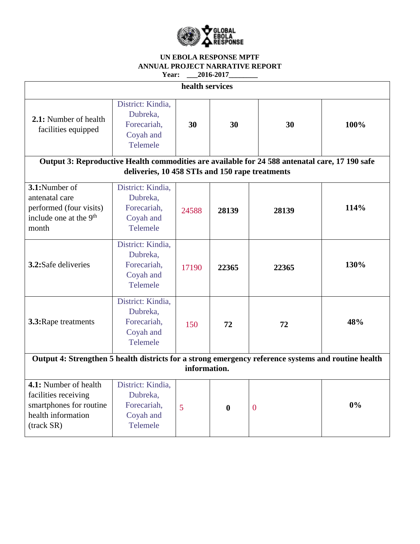

| health services                                                                                                                                   |                                                                       |       |                  |                |      |  |  |  |
|---------------------------------------------------------------------------------------------------------------------------------------------------|-----------------------------------------------------------------------|-------|------------------|----------------|------|--|--|--|
| 2.1: Number of health<br>facilities equipped                                                                                                      | District: Kindia,<br>Dubreka,<br>Forecariah,<br>Coyah and<br>Telemele | 30    | 30               | 30             | 100% |  |  |  |
| Output 3: Reproductive Health commodities are available for 24 588 antenatal care, 17 190 safe<br>deliveries, 10 458 STIs and 150 rape treatments |                                                                       |       |                  |                |      |  |  |  |
| 3.1:Number of<br>antenatal care<br>performed (four visits)<br>include one at the 9 <sup>th</sup><br>month                                         | District: Kindia,<br>Dubreka.<br>Forecariah,<br>Coyah and<br>Telemele | 24588 | 28139            | 28139          | 114% |  |  |  |
| 3.2:Safe deliveries                                                                                                                               | District: Kindia,<br>Dubreka,<br>Forecariah,<br>Coyah and<br>Telemele | 17190 | 22365            | 22365          | 130% |  |  |  |
| 3.3: Rape treatments                                                                                                                              | District: Kindia,<br>Dubreka,<br>Forecariah,<br>Coyah and<br>Telemele | 150   | 72               | 72             | 48%  |  |  |  |
| Output 4: Strengthen 5 health districts for a strong emergency reference systems and routine health<br>information.                               |                                                                       |       |                  |                |      |  |  |  |
| 4.1: Number of health<br>facilities receiving<br>smartphones for routine<br>health information<br>(track SR)                                      | District: Kindia,<br>Dubreka,<br>Forecariah,<br>Coyah and<br>Telemele | 5     | $\boldsymbol{0}$ | $\overline{0}$ | 0%   |  |  |  |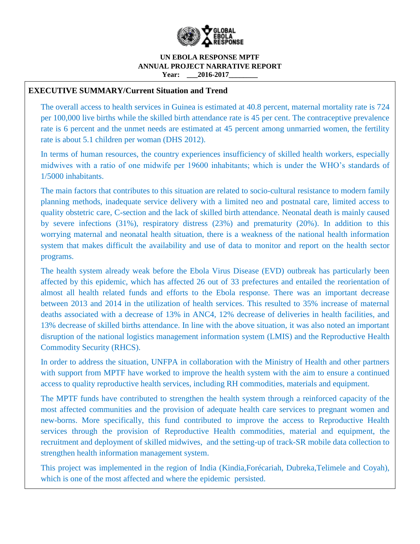

#### **UN EBOLA RESPONSE MPTF ANNUAL PROJECT NARRATIVE REPORT Year:** 2016-2017

## **EXECUTIVE SUMMARY/Current Situation and Trend**

The overall access to health services in Guinea is estimated at 40.8 percent, maternal mortality rate is 724 per 100,000 live births while the skilled birth attendance rate is 45 per cent. The contraceptive prevalence rate is 6 percent and the unmet needs are estimated at 45 percent among unmarried women, the fertility rate is about 5.1 children per woman (DHS 2012).

In terms of human resources, the country experiences insufficiency of skilled health workers, especially midwives with a ratio of one midwife per 19600 inhabitants; which is under the WHO's standards of 1/5000 inhabitants.

The main factors that contributes to this situation are related to socio-cultural resistance to modern family planning methods, inadequate service delivery with a limited neo and postnatal care, limited access to quality obstetric care, C-section and the lack of skilled birth attendance. Neonatal death is mainly caused by severe infections (31%), respiratory distress (23%) and prematurity (20%). In addition to this worrying maternal and neonatal health situation, there is a weakness of the national health information system that makes difficult the availability and use of data to monitor and report on the health sector programs.

The health system already weak before the Ebola Virus Disease (EVD) outbreak has particularly been affected by this epidemic, which has affected 26 out of 33 prefectures and entailed the reorientation of almost all health related funds and efforts to the Ebola response. There was an important decrease between 2013 and 2014 in the utilization of health services. This resulted to 35% increase of maternal deaths associated with a decrease of 13% in ANC4, 12% decrease of deliveries in health facilities, and 13% decrease of skilled births attendance. In line with the above situation, it was also noted an important disruption of the national logistics management information system (LMIS) and the Reproductive Health Commodity Security (RHCS).

In order to address the situation, UNFPA in collaboration with the Ministry of Health and other partners with support from MPTF have worked to improve the health system with the aim to ensure a continued access to quality reproductive health services, including RH commodities, materials and equipment.

The MPTF funds have contributed to strengthen the health system through a reinforced capacity of the most affected communities and the provision of adequate health care services to pregnant women and new-borns. More specifically, this fund contributed to improve the access to Reproductive Health services through the provision of Reproductive Health commodities, material and equipment, the recruitment and deployment of skilled midwives, and the setting-up of track-SR mobile data collection to strengthen health information management system.

This project was implemented in the region of India (Kindia,Forécariah, Dubreka,Telimele and Coyah), which is one of the most affected and where the epidemic persisted.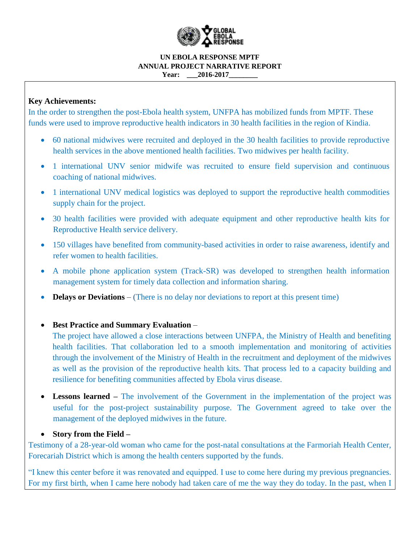

#### **UN EBOLA RESPONSE MPTF ANNUAL PROJECT NARRATIVE REPORT Year:** 2016-2017

## **Key Achievements:**

In the order to strengthen the post-Ebola health system, UNFPA has mobilized funds from MPTF. These funds were used to improve reproductive health indicators in 30 health facilities in the region of Kindia.

- 60 national midwives were recruited and deployed in the 30 health facilities to provide reproductive health services in the above mentioned health facilities. Two midwives per health facility.
- 1 international UNV senior midwife was recruited to ensure field supervision and continuous coaching of national midwives.
- 1 international UNV medical logistics was deployed to support the reproductive health commodities supply chain for the project.
- 30 health facilities were provided with adequate equipment and other reproductive health kits for Reproductive Health service delivery.
- 150 villages have benefited from community-based activities in order to raise awareness, identify and refer women to health facilities.
- A mobile phone application system (Track-SR) was developed to strengthen health information management system for timely data collection and information sharing.
- **Delays or Deviations** (There is no delay nor deviations to report at this present time)

**Best Practice and Summary Evaluation** *–*

The project have allowed a close interactions between UNFPA, the Ministry of Health and benefiting health facilities. That collaboration led to a smooth implementation and monitoring of activities through the involvement of the Ministry of Health in the recruitment and deployment of the midwives as well as the provision of the reproductive health kits. That process led to a capacity building and resilience for benefiting communities affected by Ebola virus disease.

 **Lessons learned** *–* The involvement of the Government in the implementation of the project was useful for the post-project sustainability purpose. The Government agreed to take over the management of the deployed midwives in the future.

### **Story from the Field** *–*

Testimony of a 28-year-old woman who came for the post-natal consultations at the Farmoriah Health Center, Forecariah District which is among the health centers supported by the funds.

"I knew this center before it was renovated and equipped. I use to come here during my previous pregnancies. For my first birth, when I came here nobody had taken care of me the way they do today. In the past, when I